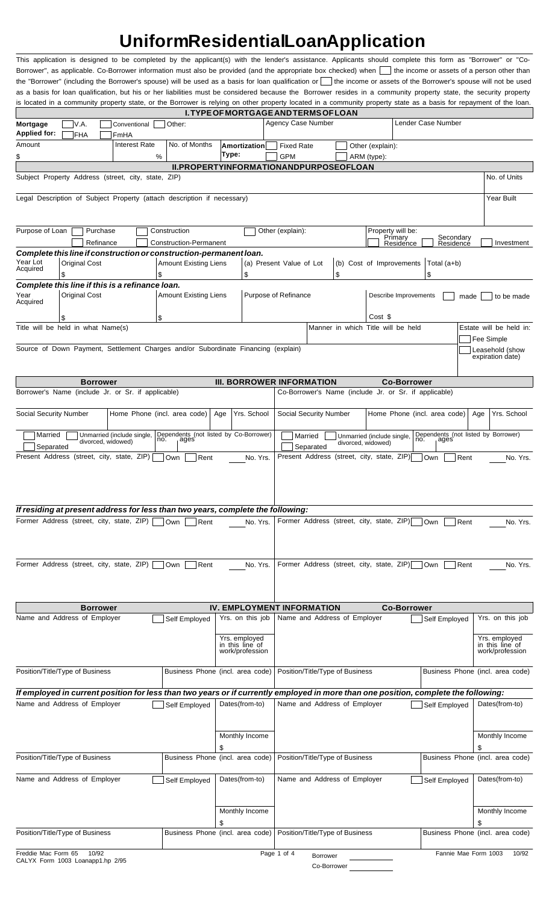## **Uniform Residential Loan Application**

This application is designed to be completed by the applicant(s) with the lender's assistance. Applicants should complete this form as "Borrower" or "Co-Borrower", as applicable. Co-Borrower information must also be provided (and the appropriate box checked) when  $\Box$  the income or assets of a person other than the "Borrower" (including the Borrower's spouse) will be used as a basis for loan qualification or  $\Box$  the income or assets of the Borrower's spouse will not be used as a basis for loan qualification, but his or her liabilities must be considered because the Borrower resides in a community property state, the security property is located in a community property state, or the Borrower is relying on other property located in a community property state as a basis for repayment of the loan.

|                                                         |                      |                 |                            |    |                                                                                                                                     |     | <b>I.TYPEOFMORTGAGEANDTERMSOFLOAN</b>  |                           |                                 |                                                       |                       |                              |                        |                                                   |
|---------------------------------------------------------|----------------------|-----------------|----------------------------|----|-------------------------------------------------------------------------------------------------------------------------------------|-----|----------------------------------------|---------------------------|---------------------------------|-------------------------------------------------------|-----------------------|------------------------------|------------------------|---------------------------------------------------|
| Mortgage<br><b>Applied for:</b>                         | V.A.<br>FHA          |                 | Conventional<br>FmHA       |    | Other:                                                                                                                              |     |                                        | <b>Agency Case Number</b> |                                 |                                                       |                       | Lender Case Number           |                        |                                                   |
| Amount                                                  |                      |                 | <b>Interest Rate</b>       |    | No. of Months                                                                                                                       |     | Amortization                           | <b>Fixed Rate</b>         |                                 | Other (explain):                                      |                       |                              |                        |                                                   |
| \$                                                      |                      |                 |                            | %  |                                                                                                                                     |     | Type:                                  | <b>GPM</b>                |                                 | ARM (type):                                           |                       |                              |                        |                                                   |
|                                                         |                      |                 |                            |    |                                                                                                                                     |     | II.PROPERTYINFORMATIONANDPURPOSEOFLOAN |                           |                                 |                                                       |                       |                              |                        |                                                   |
| Subject Property Address (street, city, state, ZIP)     |                      |                 |                            |    |                                                                                                                                     |     |                                        |                           |                                 |                                                       |                       |                              |                        | No. of Units                                      |
|                                                         |                      |                 |                            |    | Legal Description of Subject Property (attach description if necessary)                                                             |     |                                        |                           |                                 |                                                       |                       |                              |                        | Year Built                                        |
|                                                         |                      |                 |                            |    |                                                                                                                                     |     |                                        |                           |                                 |                                                       |                       |                              |                        |                                                   |
| Purpose of Loan                                         |                      | Purchase        |                            |    | Construction                                                                                                                        |     |                                        | Other (explain):          |                                 |                                                       | Property will be:     |                              |                        |                                                   |
|                                                         |                      | Refinance       |                            |    | <b>Construction-Permanent</b>                                                                                                       |     |                                        |                           |                                 |                                                       | Primary<br>Residence  |                              | Secondary<br>Residence | Investment                                        |
|                                                         |                      |                 |                            |    | Complete this line if construction or construction-permanent loan.                                                                  |     |                                        |                           |                                 |                                                       |                       |                              |                        |                                                   |
| Year Lot<br>Acquired                                    | <b>Original Cost</b> |                 |                            |    | <b>Amount Existing Liens</b>                                                                                                        |     |                                        | (a) Present Value of Lot  |                                 | (b) Cost of Improvements                              |                       | Total $(a+b)$                |                        |                                                   |
|                                                         | \$                   |                 |                            | \$ |                                                                                                                                     |     | \$                                     |                           | \$                              |                                                       |                       | \$                           |                        |                                                   |
| Complete this line if this is a refinance loan.<br>Year | <b>Original Cost</b> |                 |                            |    | <b>Amount Existing Liens</b>                                                                                                        |     |                                        | Purpose of Refinance      |                                 |                                                       | Describe Improvements |                              |                        |                                                   |
| Acquired                                                |                      |                 |                            |    |                                                                                                                                     |     |                                        |                           |                                 |                                                       |                       |                              | made                   | to be made                                        |
|                                                         |                      |                 |                            | \$ |                                                                                                                                     |     |                                        |                           |                                 | Cost \$                                               |                       |                              |                        |                                                   |
| Title will be held in what Name(s)                      |                      |                 |                            |    |                                                                                                                                     |     |                                        |                           |                                 | Manner in which Title will be held                    |                       |                              |                        | Estate will be held in:                           |
|                                                         |                      |                 |                            |    |                                                                                                                                     |     |                                        |                           |                                 |                                                       |                       |                              |                        | Fee Simple                                        |
|                                                         |                      |                 |                            |    | Source of Down Payment, Settlement Charges and/or Subordinate Financing (explain)                                                   |     |                                        |                           |                                 |                                                       |                       |                              |                        | Leasehold (show<br>expiration date)               |
|                                                         |                      |                 |                            |    |                                                                                                                                     |     |                                        |                           |                                 |                                                       |                       |                              |                        |                                                   |
|                                                         |                      | <b>Borrower</b> |                            |    |                                                                                                                                     |     | <b>III. BORROWER INFORMATION</b>       |                           |                                 |                                                       | <b>Co-Borrower</b>    |                              |                        |                                                   |
| Borrower's Name (include Jr. or Sr. if applicable)      |                      |                 |                            |    |                                                                                                                                     |     |                                        |                           |                                 | Co-Borrower's Name (include Jr. or Sr. if applicable) |                       |                              |                        |                                                   |
| Social Security Number                                  |                      |                 |                            |    | Home Phone (incl. area code)                                                                                                        | Age | Yrs. School                            |                           | Social Security Number          |                                                       |                       | Home Phone (incl. area code) |                        | Yrs. School<br>Age                                |
|                                                         |                      |                 |                            |    |                                                                                                                                     |     |                                        |                           |                                 |                                                       |                       |                              |                        |                                                   |
| Married                                                 |                      |                 | Unmarried (include single, |    | Dependents (not listed by Co-Borrower)<br>ages<br>no.                                                                               |     |                                        |                           | Married                         | Unmarried (include single,                            |                       | ages                         |                        | Dependents (not listed by Borrower)<br>no. , ages |
| Separated                                               |                      |                 | divorced, widowed)         |    |                                                                                                                                     |     |                                        |                           | Separated                       | divorced, widowed)                                    |                       |                              |                        |                                                   |
| Present Address (street, city, state, ZIP)              |                      |                 |                            |    | Own<br>Rent                                                                                                                         |     | No. Yrs.                               |                           |                                 | Present Address (street, city, state, ZIP)            |                       | Own                          | Rent                   | No. Yrs.                                          |
|                                                         |                      |                 |                            |    |                                                                                                                                     |     |                                        |                           |                                 |                                                       |                       |                              |                        |                                                   |
|                                                         |                      |                 |                            |    |                                                                                                                                     |     |                                        |                           |                                 |                                                       |                       |                              |                        |                                                   |
|                                                         |                      |                 |                            |    |                                                                                                                                     |     |                                        |                           |                                 |                                                       |                       |                              |                        |                                                   |
|                                                         |                      |                 |                            |    | If residing at present address for less than two years, complete the following:                                                     |     |                                        |                           |                                 |                                                       |                       |                              |                        |                                                   |
| Former Address (street, city, state, ZIP)               |                      |                 |                            |    | Own<br>Rent                                                                                                                         |     | No. Yrs.                               |                           |                                 | Former Address (street, city, state, ZIP)             |                       | Own                          | Rent                   | No. Yrs.                                          |
|                                                         |                      |                 |                            |    |                                                                                                                                     |     |                                        |                           |                                 |                                                       |                       |                              |                        |                                                   |
|                                                         |                      |                 |                            |    |                                                                                                                                     |     |                                        |                           |                                 |                                                       |                       |                              |                        |                                                   |
| Former Address (street, city, state, ZIP)               |                      |                 |                            |    | Own<br>Rent                                                                                                                         |     | No. Yrs.                               |                           |                                 | Former Address (street, city, state, ZIP)             |                       | Own                          | Rent                   | No. Yrs.                                          |
|                                                         |                      |                 |                            |    |                                                                                                                                     |     |                                        |                           |                                 |                                                       |                       |                              |                        |                                                   |
|                                                         |                      |                 |                            |    |                                                                                                                                     |     |                                        |                           |                                 |                                                       |                       |                              |                        |                                                   |
|                                                         |                      | <b>Borrower</b> |                            |    |                                                                                                                                     |     | <b>IV. EMPLOYMENT INFORMATION</b>      |                           |                                 |                                                       | <b>Co-Borrower</b>    |                              |                        |                                                   |
| Name and Address of Employer                            |                      |                 |                            |    | Self Employed                                                                                                                       |     | Yrs. on this job                       |                           |                                 | Name and Address of Employer                          |                       | Self Employed                |                        | Yrs. on this job                                  |
|                                                         |                      |                 |                            |    |                                                                                                                                     |     |                                        |                           |                                 |                                                       |                       |                              |                        |                                                   |
|                                                         |                      |                 |                            |    |                                                                                                                                     |     | Yrs. employed<br>in this line of       |                           |                                 |                                                       |                       |                              |                        | Yrs. employed<br>in this line of                  |
|                                                         |                      |                 |                            |    |                                                                                                                                     |     | work/profession                        |                           |                                 |                                                       |                       |                              |                        | work/profession                                   |
| Position/Title/Type of Business                         |                      |                 |                            |    | Business Phone (incl. area code)                                                                                                    |     |                                        |                           | Position/Title/Type of Business |                                                       |                       |                              |                        | Business Phone (incl. area code)                  |
|                                                         |                      |                 |                            |    |                                                                                                                                     |     |                                        |                           |                                 |                                                       |                       |                              |                        |                                                   |
|                                                         |                      |                 |                            |    | If employed in current position for less than two years or if currently employed in more than one position, complete the following: |     |                                        |                           |                                 |                                                       |                       |                              |                        |                                                   |
| Name and Address of Employer                            |                      |                 |                            |    | Self Employed                                                                                                                       |     | Dates(from-to)                         |                           |                                 | Name and Address of Employer                          |                       | Self Employed                |                        | Dates(from-to)                                    |
|                                                         |                      |                 |                            |    |                                                                                                                                     |     |                                        |                           |                                 |                                                       |                       |                              |                        |                                                   |
|                                                         |                      |                 |                            |    |                                                                                                                                     |     | Monthly Income                         |                           |                                 |                                                       |                       |                              |                        | Monthly Income                                    |
|                                                         |                      |                 |                            |    |                                                                                                                                     | \$  |                                        |                           |                                 |                                                       |                       |                              |                        |                                                   |
| Position/Title/Type of Business                         |                      |                 |                            |    | Business Phone (incl. area code)                                                                                                    |     |                                        |                           | Position/Title/Type of Business |                                                       |                       |                              |                        | Business Phone (incl. area code)                  |
|                                                         |                      |                 |                            |    |                                                                                                                                     |     |                                        |                           |                                 |                                                       |                       |                              |                        |                                                   |
| Name and Address of Employer                            |                      |                 |                            |    | Self Employed                                                                                                                       |     | Dates(from-to)                         |                           |                                 | Name and Address of Employer                          |                       | Self Employed                |                        | Dates(from-to)                                    |
|                                                         |                      |                 |                            |    |                                                                                                                                     |     |                                        |                           |                                 |                                                       |                       |                              |                        |                                                   |
|                                                         |                      |                 |                            |    |                                                                                                                                     |     | Monthly Income                         |                           |                                 |                                                       |                       |                              |                        | Monthly Income                                    |
|                                                         |                      |                 |                            |    |                                                                                                                                     | \$  |                                        |                           |                                 |                                                       |                       |                              |                        |                                                   |
| Position/Title/Type of Business                         |                      |                 |                            |    | Business Phone (incl. area code)                                                                                                    |     |                                        |                           | Position/Title/Type of Business |                                                       |                       |                              |                        | Business Phone (incl. area code)                  |
|                                                         |                      |                 |                            |    |                                                                                                                                     |     |                                        |                           |                                 |                                                       |                       |                              |                        |                                                   |
| Freddie Mac Form 65<br>CALYX Form 1003 Loanapp1.hp 2/95 |                      | 10/92           |                            |    |                                                                                                                                     |     |                                        | Page 1 of 4               | <b>Borrower</b>                 |                                                       |                       |                              |                        | Fannie Mae Form 1003<br>10/92                     |
|                                                         |                      |                 |                            |    |                                                                                                                                     |     |                                        |                           | Co-Borrower                     |                                                       |                       |                              |                        |                                                   |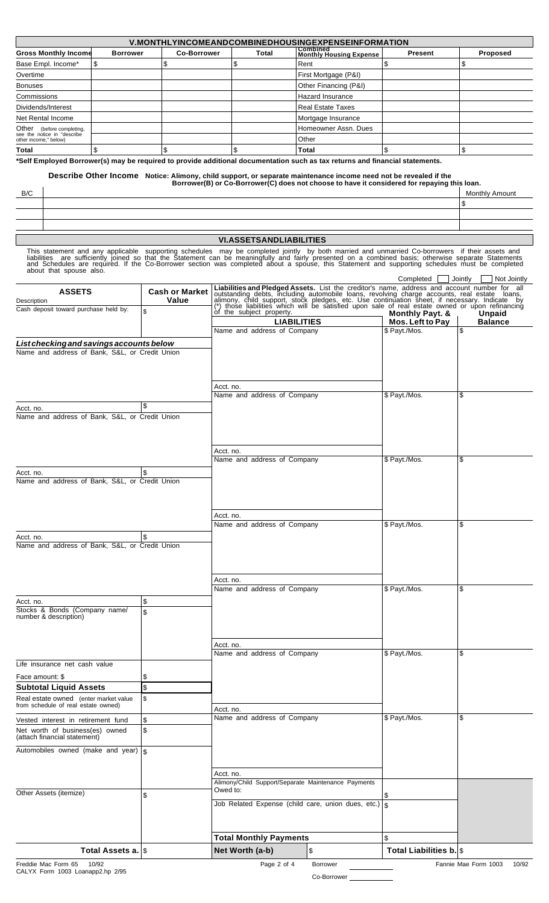## **V. MONTHLY INCOME AND COMBINED HOUSING EXPENSE INFORMATION Gross Monthly Income Borrower** | **Co-Borrower** | Total **Monthly Housing Expense Present Proposed** Base Empl. Income\*  $\begin{array}{|c|c|c|c|c|}\hline \text{${\sf \$}\hspace{1cm}$} & \text{${\sf \$}\hspace{1cm}$} & \text{${\sf \$}\hspace{1cm}$} & \text{${\sf \$}\hspace{1cm}$} & \text{${\sf \$}\hspace{1cm}$} & \text{${\sf \$}\hspace{1cm}$} & \text{${\sf \$}\hspace{1cm}$} & \text{${\sf \$}\hspace{1cm}$} & \text{${\sf \$}\hspace{1cm}$} & \text{${\sf \$}\hspace{1cm}$} & \text{${\sf \$}\hspace{1cm}$} & \text{${\sf$ Overtime Bonuses Commissions Dividends/Interest Net Rental Income Other (before completing, see the notice in "describe see the notice in "depther income," below) Rent First Mortgage (P&I) Other Financing (P&I) Hazard Insurance Real Estate Taxes Mortgage Insurance Homeowner Assn. Dues **Other Total** \$ \$ \$ **Total** \$ \$

**\*Self Employed Borrower(s) may be required to provide additional documentation such as tax returns and financial statements.**

**Describe Other Income Notice: Alimony, child support, or separate maintenance income need not be revealed if the**

| Borrower(B) or Co-Borrower(C) does not choose to have it considered for repaying this loan. |  |                       |  |  |  |  |  |  |
|---------------------------------------------------------------------------------------------|--|-----------------------|--|--|--|--|--|--|
| B/C                                                                                         |  | <b>Monthly Amount</b> |  |  |  |  |  |  |
|                                                                                             |  |                       |  |  |  |  |  |  |
|                                                                                             |  |                       |  |  |  |  |  |  |
|                                                                                             |  |                       |  |  |  |  |  |  |
|                                                                                             |  |                       |  |  |  |  |  |  |

## **VI. ASSETS AND LIABILITIES**

This statement and any applicable supporting schedules may be completed jointly by both married and unmarried Co-borrowers if their assets and<br>liabilities are sufficiently joined so that the Statement can be meaningfully a Completed **Jointly Not Jointly** 

| <b>ASSETS</b><br>Description<br>Cash deposit toward purchase held by: | <b>Cash or Market</b><br>Value | Liabilities and Pledged Assets. List the creditor's name, address and account number for all outstanding debts, including automobile loans, revolving charge accounts, real estate loans, alimony, child support, stock pledge |                                     |                                 |
|-----------------------------------------------------------------------|--------------------------------|--------------------------------------------------------------------------------------------------------------------------------------------------------------------------------------------------------------------------------|-------------------------------------|---------------------------------|
|                                                                       | $\mathbf{s}$                   | of the subject property.<br><b>LIABILITIES</b>                                                                                                                                                                                 | Monthly Payt. &<br>Mos. Left to Pay | <b>Unpaid</b><br><b>Balance</b> |
|                                                                       |                                | Name and address of Company                                                                                                                                                                                                    | \$ Payt./Mos.                       | \$                              |
| List checking and savings accounts below                              |                                |                                                                                                                                                                                                                                |                                     |                                 |
| Name and address of Bank, S&L, or Credit Union                        |                                |                                                                                                                                                                                                                                |                                     |                                 |
|                                                                       |                                | Acct. no.                                                                                                                                                                                                                      |                                     |                                 |
|                                                                       |                                | Name and address of Company                                                                                                                                                                                                    | \$ Payt./Mos.                       | \$                              |
| Acct. no.                                                             | \$                             |                                                                                                                                                                                                                                |                                     |                                 |
| Name and address of Bank, S&L, or Credit Union                        |                                | Acct. no.                                                                                                                                                                                                                      |                                     |                                 |
|                                                                       |                                | Name and address of Company                                                                                                                                                                                                    | \$ Payt./Mos.                       | \$                              |
| Acct. no.                                                             | \$                             |                                                                                                                                                                                                                                |                                     |                                 |
| Name and address of Bank, S&L, or Credit Union                        |                                |                                                                                                                                                                                                                                |                                     |                                 |
|                                                                       |                                | Acct. no.                                                                                                                                                                                                                      |                                     |                                 |
|                                                                       |                                | Name and address of Company                                                                                                                                                                                                    | \$ Payt./Mos.                       | \$                              |
| Acct. no.<br>Name and address of Bank, S&L, or Credit Union           | \$                             |                                                                                                                                                                                                                                |                                     |                                 |
|                                                                       |                                | Acct. no.                                                                                                                                                                                                                      |                                     |                                 |
|                                                                       |                                | Name and address of Company                                                                                                                                                                                                    | \$ Payt./Mos.                       | \$                              |
| Acct. no.                                                             | \$                             |                                                                                                                                                                                                                                |                                     |                                 |
| Stocks & Bonds (Company name/<br>number & description)                | \$                             |                                                                                                                                                                                                                                |                                     |                                 |
|                                                                       |                                | Acct. no.<br>Name and address of Company                                                                                                                                                                                       | \$ Payt./Mos.                       | \$                              |
| Life insurance net cash value                                         |                                |                                                                                                                                                                                                                                |                                     |                                 |
| Face amount: \$                                                       | \$                             |                                                                                                                                                                                                                                |                                     |                                 |
| <b>Subtotal Liquid Assets</b>                                         | \$                             |                                                                                                                                                                                                                                |                                     |                                 |
| Real estate owned (enter market value                                 | $\mathbb S$                    |                                                                                                                                                                                                                                |                                     |                                 |
| from schedule of real estate owned)                                   |                                | Acct. no.                                                                                                                                                                                                                      |                                     |                                 |
| Vested interest in retirement fund                                    | \$                             | Name and address of Company                                                                                                                                                                                                    | \$ Payt./Mos.                       | \$                              |
| Net worth of business(es) owned<br>(attach financial statement)       | \$                             |                                                                                                                                                                                                                                |                                     |                                 |
| Automobiles owned (make and year) $\frac{1}{s}$                       |                                |                                                                                                                                                                                                                                |                                     |                                 |
|                                                                       |                                | Acct. no.<br>Alimony/Child Support/Separate Maintenance Payments                                                                                                                                                               |                                     |                                 |
| Other Assets (itemize)                                                | \$                             | Owed to:                                                                                                                                                                                                                       | \$                                  |                                 |
|                                                                       |                                | Job Related Expense (child care, union dues, etc.)   \$                                                                                                                                                                        |                                     |                                 |
|                                                                       |                                | <b>Total Monthly Payments</b>                                                                                                                                                                                                  | \$                                  |                                 |
| Total Assets a. \$                                                    |                                | Net Worth (a-b)                                                                                                                                                                                                                | \$<br>Total Liabilities b. \$       |                                 |

Co-Borrower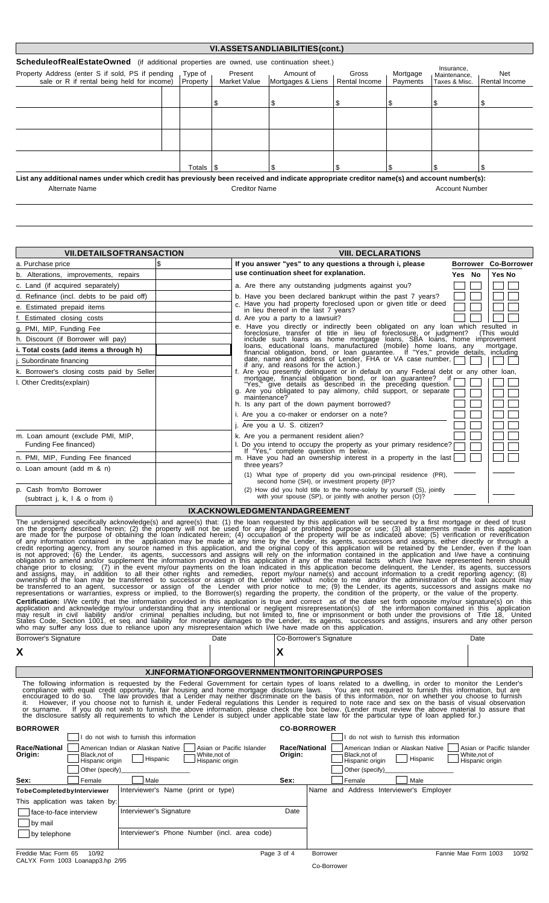|                                                                                                                                            |  |                      |                         | <u>VI.AOOLI OANDEIADIEN ILOICOIIGI</u> |                                                |    |                                             |                      |  |
|--------------------------------------------------------------------------------------------------------------------------------------------|--|----------------------|-------------------------|----------------------------------------|------------------------------------------------|----|---------------------------------------------|----------------------|--|
| ScheduleofRealEstateOwned (if additional properties are owned, use continuation sheet.)                                                    |  |                      |                         |                                        |                                                |    |                                             |                      |  |
| Property Address (enter S if sold, PS if pending<br>Type of<br>sale or R if rental being held for income)<br>Property                      |  |                      | Present<br>Market Value | Amount of<br>Mortgages & Liens         | Mortgage<br>Gross<br>Rental Income<br>Payments |    | Insurance,<br>Maintenance,<br>Taxes & Misc. | Net<br>Rental Income |  |
|                                                                                                                                            |  |                      |                         |                                        | \$                                             | \$ | S                                           | S                    |  |
|                                                                                                                                            |  |                      |                         |                                        |                                                |    |                                             |                      |  |
|                                                                                                                                            |  |                      |                         |                                        |                                                |    |                                             |                      |  |
|                                                                                                                                            |  | Totals $ $ \$        |                         |                                        |                                                |    |                                             |                      |  |
| List any additional names under which credit has previously been received and indicate appropriate creditor name(s) and account number(s): |  |                      |                         |                                        |                                                |    |                                             |                      |  |
| Alternate Name                                                                                                                             |  | <b>Creditor Name</b> |                         |                                        |                                                |    | <b>Account Number</b>                       |                      |  |
|                                                                                                                                            |  |                      |                         |                                        |                                                |    |                                             |                      |  |

**VI. ASSETS AND LIABILITIES (cont.)**

| <b>VII.DETAILSOFTRANSACTION</b>            | <b>VIII. DECLARATIONS</b>                                                                                                                              |        |                      |  |  |  |  |  |  |
|--------------------------------------------|--------------------------------------------------------------------------------------------------------------------------------------------------------|--------|----------------------|--|--|--|--|--|--|
| a. Purchase price                          | If you answer "yes" to any questions a through i, please                                                                                               |        | Borrower Co-Borrower |  |  |  |  |  |  |
| b. Alterations, improvements, repairs      | use continuation sheet for explanation.                                                                                                                | Yes No | Yes No               |  |  |  |  |  |  |
| c. Land (if acquired separately)           | a. Are there any outstanding judgments against you?                                                                                                    |        |                      |  |  |  |  |  |  |
| d. Refinance (incl. debts to be paid off)  | b. Have you been declared bankrupt within the past 7 years?                                                                                            |        |                      |  |  |  |  |  |  |
| e. Estimated prepaid items                 | c. Have you had property foreclosed upon or given title or deed<br>in lieu thereof in the last 7 years?                                                |        |                      |  |  |  |  |  |  |
| f. Estimated closing costs                 | d. Are you a party to a lawsuit?                                                                                                                       |        |                      |  |  |  |  |  |  |
| g. PMI, MIP, Funding Fee                   | e. Have you directly or indirectly been obligated on any loan which resulted in<br>foreclosure, transfer of title in lieu of foreclosure, or judgment? |        | (This would          |  |  |  |  |  |  |
| h. Discount (if Borrower will pay)         | include such loans as home mortgage loans, SBA loans, home improvement                                                                                 |        |                      |  |  |  |  |  |  |
| i. Total costs (add items a through h)     | loans, educational loans, manufactured (mobile) home loans, any<br>financial obligation, bond, or loan guarantee. If "Yes," provide details, including |        | mortgage,            |  |  |  |  |  |  |
| . Subordinate financing                    | date, name and address of Lender, FHA or VA case number, [<br>if any, and reasons for the action.)                                                     |        |                      |  |  |  |  |  |  |
| k. Borrower's closing costs paid by Seller | f. Are you presently delinquent or in default on any Federal debt or any other loan,                                                                   |        |                      |  |  |  |  |  |  |
| I. Other Credits(explain)                  | mortgage, financial obligation bond, or loan guarantee? if<br>"Yes," give details as described in the preceding question.                              |        |                      |  |  |  |  |  |  |
|                                            | g. Are you obligated to pay alimony, child support, or separate<br>maintenance?                                                                        |        |                      |  |  |  |  |  |  |
|                                            | h. Is any part of the down payment borrowed?                                                                                                           |        |                      |  |  |  |  |  |  |
|                                            | i. Are you a co-maker or endorser on a note?                                                                                                           |        |                      |  |  |  |  |  |  |
|                                            | j. Are you a U. S. citizen?                                                                                                                            |        |                      |  |  |  |  |  |  |
| m. Loan amount (exclude PMI, MIP,          | k. Are you a permanent resident alien?                                                                                                                 |        |                      |  |  |  |  |  |  |
| Funding Fee financed)                      | I. Do you intend to occupy the property as your primary residence?<br>If "Yes," complete question m below.                                             |        |                      |  |  |  |  |  |  |
| n. PMI, MIP, Funding Fee financed          | m. Have you had an ownership interest in a property in the last                                                                                        |        |                      |  |  |  |  |  |  |
| o. Loan amount (add m & n)                 | three years?                                                                                                                                           |        |                      |  |  |  |  |  |  |
|                                            | (1) What type of property did you own-principal residence (PR),<br>second home (SH), or investment property (IP)?                                      |        |                      |  |  |  |  |  |  |
| p. Cash from/to Borrower                   | (2) How did you hold title to the home-solely by yourself (S), jointly                                                                                 |        |                      |  |  |  |  |  |  |
| (subtract $i, k, l, k$ o from $i$ )        | with your spouse (SP), or jointly with another person (O)?                                                                                             |        |                      |  |  |  |  |  |  |

**IX.ACKNOWLEDGMENTANDAGREEMENT** 

The undersigned specifically acknowledge(s) and agree(s) that: (1) the loan requested by this application will be secured by a first mortgage or deed of trust<br>on the property described herein; (2) the property will not be **Certification:** I/We certify that the information provided in this application is true and correct as of the date set forth opposite my/our signature(s) on this application and acknowledge my/our understanding that any in Borrower's Signature Date Date Co-Borrower's Signature Date Date

| X                                                                                                                    |                                  |                                                                                                                                                                                                                                                                                                                                                                                                                                                                                                                                                                                                                                                                                                                                                                                                                                                                                                                       | X                                                             |                                                                                                                     |                 |                                         |                                                               |                      |       |
|----------------------------------------------------------------------------------------------------------------------|----------------------------------|-----------------------------------------------------------------------------------------------------------------------------------------------------------------------------------------------------------------------------------------------------------------------------------------------------------------------------------------------------------------------------------------------------------------------------------------------------------------------------------------------------------------------------------------------------------------------------------------------------------------------------------------------------------------------------------------------------------------------------------------------------------------------------------------------------------------------------------------------------------------------------------------------------------------------|---------------------------------------------------------------|---------------------------------------------------------------------------------------------------------------------|-----------------|-----------------------------------------|---------------------------------------------------------------|----------------------|-------|
|                                                                                                                      |                                  |                                                                                                                                                                                                                                                                                                                                                                                                                                                                                                                                                                                                                                                                                                                                                                                                                                                                                                                       | <b>X.INFORMATIONFORGOVERNMENTMONITORINGPURPOSES</b>           |                                                                                                                     |                 |                                         |                                                               |                      |       |
| or surname.                                                                                                          |                                  | The following information is requested by the Federal Government for certain types of loans related to a dwelling, in order to monitor the Lender's<br>compliance with equal credit opportunity, fair housing and home mortgage disclosure laws. You are not required to furnish this information, but are<br>encouraged to do so. The law provides that a Lender may neither discriminate on the basis of this information, nor on whether you choose to furnish<br>However, if you choose not to furnish it, under Federal regulations this Lender is required to note race and sex on the basis of visual observation<br>If you do not wish to furnish the above information, please check the box below. (Lender must review the above material to assure that<br>the disclosure satisfy all requirements to which the Lender is subject under applicable state law for the particular type of loan applied for.) |                                                               |                                                                                                                     |                 |                                         |                                                               |                      |       |
| <b>BORROWER</b>                                                                                                      |                                  |                                                                                                                                                                                                                                                                                                                                                                                                                                                                                                                                                                                                                                                                                                                                                                                                                                                                                                                       |                                                               | <b>CO-BORROWER</b>                                                                                                  |                 |                                         |                                                               |                      |       |
|                                                                                                                      |                                  | do not wish to furnish this information                                                                                                                                                                                                                                                                                                                                                                                                                                                                                                                                                                                                                                                                                                                                                                                                                                                                               |                                                               |                                                                                                                     |                 |                                         | do not wish to furnish this information                       |                      |       |
| <b>Race/National</b><br>American Indian or Alaskan Native<br>Origin:<br>Black, not of<br>Hispanic<br>Hispanic origin |                                  |                                                                                                                                                                                                                                                                                                                                                                                                                                                                                                                                                                                                                                                                                                                                                                                                                                                                                                                       | Asian or Pacific Islander<br>White, not of<br>Hispanic origin | <b>Race/National</b><br>American Indian or Alaskan Native<br>Origin:<br>Black.not of<br>Hispanic<br>Hispanic origin |                 |                                         | Asian or Pacific Islander<br>White, not of<br>Hispanic origin |                      |       |
|                                                                                                                      | Other (specify)                  |                                                                                                                                                                                                                                                                                                                                                                                                                                                                                                                                                                                                                                                                                                                                                                                                                                                                                                                       |                                                               |                                                                                                                     |                 | Other (specify)                         |                                                               |                      |       |
| Sex:                                                                                                                 | Female                           | Male                                                                                                                                                                                                                                                                                                                                                                                                                                                                                                                                                                                                                                                                                                                                                                                                                                                                                                                  |                                                               | Sex:                                                                                                                |                 | Female                                  | Male                                                          |                      |       |
| <b>TobeCompletedbyInterviewer</b>                                                                                    |                                  | Interviewer's Name (print or type)                                                                                                                                                                                                                                                                                                                                                                                                                                                                                                                                                                                                                                                                                                                                                                                                                                                                                    |                                                               |                                                                                                                     |                 | Name and Address Interviewer's Employer |                                                               |                      |       |
|                                                                                                                      | This application was taken by:   |                                                                                                                                                                                                                                                                                                                                                                                                                                                                                                                                                                                                                                                                                                                                                                                                                                                                                                                       |                                                               |                                                                                                                     |                 |                                         |                                                               |                      |       |
| Interviewer's Signature<br>face-to-face interview                                                                    |                                  |                                                                                                                                                                                                                                                                                                                                                                                                                                                                                                                                                                                                                                                                                                                                                                                                                                                                                                                       | Date                                                          |                                                                                                                     |                 |                                         |                                                               |                      |       |
| by mail                                                                                                              |                                  |                                                                                                                                                                                                                                                                                                                                                                                                                                                                                                                                                                                                                                                                                                                                                                                                                                                                                                                       |                                                               |                                                                                                                     |                 |                                         |                                                               |                      |       |
| by telephone                                                                                                         |                                  | Interviewer's Phone Number (incl. area code)                                                                                                                                                                                                                                                                                                                                                                                                                                                                                                                                                                                                                                                                                                                                                                                                                                                                          |                                                               |                                                                                                                     |                 |                                         |                                                               |                      |       |
| Freddie Mac Form 65                                                                                                  | 10/92                            |                                                                                                                                                                                                                                                                                                                                                                                                                                                                                                                                                                                                                                                                                                                                                                                                                                                                                                                       |                                                               | Page 3 of 4                                                                                                         | <b>Borrower</b> |                                         |                                                               | Fannie Mae Form 1003 | 10/92 |
|                                                                                                                      | CALYX Form 1003 Loanapp3.hp 2/95 |                                                                                                                                                                                                                                                                                                                                                                                                                                                                                                                                                                                                                                                                                                                                                                                                                                                                                                                       |                                                               |                                                                                                                     |                 |                                         |                                                               |                      |       |